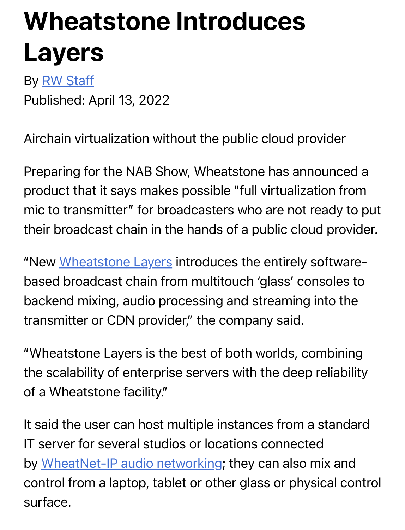## Wheatstone Introduces L[ayers](https://www.radioworld.com/author/rwstaff)

By RW Staff Published: April 13, 2022

Airchain virtualization without the public cloud provider

Preparing for the NAB Show, Wheatstone has announced a product that it says makes possible "full virtualization from mic to transmitter" for broadcasters who are not ready to put their [broadcast chain in th](http://email.robly.com/ls/click?upn=lZcIxWSBWxgjg4E6g9mriBFZWhd1Q6RAJNv4XgCPiF7MFlgY-2BUwKvF87hywUhMHK0uyu_PZIJuL-2Bzn-2BVzvA6o7J6doZpz-2B-2FaH0QwDjIjj6FgYIEKMQyzbbwfJZH7f-2FVmQ6dRq1fOx4wN-2Fs6QbVygtOUx2Kef7V7OoG5nUg1MzaaQhzXMw0WTibHJHF-2ByxzRc6R6usuYsa9OOJEv1vNZ6WtIcYNn7p1Xfa86hEX0kHTxo1rUKkGwMi3bRNv-2BINj6WVBj7sfPFDPO5YAVs9T-2F5xNHYYAmpoM8UXIGnBeqx1gWsemK87ciwGsSwyBtmSkOY6grCMU6Ih3NIzVxy6o5m8KsJkS6u7fp12S1HU37CLGQQc27vGGkA2CY4jFABWGJF-2FDCfDetUCNy4kEooTQb00u55l3C1uNsbBCPeuQo34u0ECYbBUnQBAT-2BFkSGG0rQ32Dcmqwkvu1T6bAPNi1q-2FoUPhUly7uCcgBiv6m2olZnFxNkIcxQsGtGOOyO0-2B4rkud4Z9NmtzCIIL-2B2H2uEO4GPIeV3g-3D-3D)e hands of a public cloud provider.

"New Wheatstone Layers introduces the entirely softwarebased broadcast chain from multitouch 'glass' consoles to backend mixing, audio processing and streaming into the transmitter or CDN provider," the company said.

"Wheatstone Layers is the best of both worlds, combining the scalability of enterprise servers with the deep reliability of a Wheatstone facility."

It said the user can host multiple instances from a standard IT [server for several studios or loca](http://email.robly.com/ls/click?upn=lZcIxWSBWxgjg4E6g9mriCj6J2JqepTBDLNFlWI2AK0KZreSx7rg5TdzyvHbcfpIht9j1tED-2BUxyk-2B8hPxtHyP06w7HAoll0ZO30ir8BkuJgi2iPnOM0OhwjdzX7WS5v97ZnZ63wSrvznTNOaZCajg-3D-3Dq1iQ_PZIJuL-2Bzn-2BVzvA6o7J6doZpz-2B-2FaH0QwDjIjj6FgYIEKMQyzbbwfJZH7f-2FVmQ6dRq1fOx4wN-2Fs6QbVygtOUx2Kef7V7OoG5nUg1MzaaQhzXMw0WTibHJHF-2ByxzRc6R6usuYsa9OOJEv1vNZ6WtIcYNn7p1Xfa86hEX0kHTxo1rUKkGwMi3bRNv-2BINj6WVBj7sfPFDPO5YAVs9T-2F5xNHYYAmpoM8UXIGnBeqx1gWsemK87ciwGsSwyBtmSkOY6grCMU6Ih3NIzVxy6o5m8KsJkS8Qp2JBMKknYlvtvRFyGYdj3VrE2MCV0aK02ZMfo-2FnKBjb43tUImzc-2B3oRwYzvzO49bH3pj7ctiyJq6KVDXDRtEBd3bpwvh-2BCl0NsK9ry0W4OQlwhlL795xlmXRjRIYCaCTjxy3n7t-2BO68QBFP0Nns3v6yX6kXxe7Jbd-2Faqt4f6-2BEKjdYf2ZqeYyavEWFfJioQ-3D-3D)tions connected by WheatNet-IP audio networking; they can also mix and control from a laptop, tablet or other glass or physical control surface.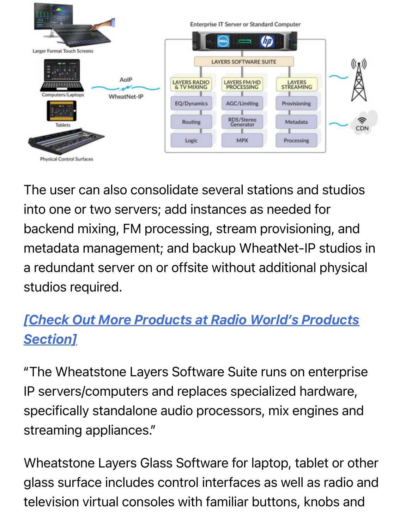

The user can also consolidate several stations and studios into one or two servers; add instances as needed for backend mixing, FM processing, stream provisioning, and metadata management; and backup WheatNet-IP studios in a redundant server on or offsite without additional physical studios required.

## *[\[Check Out More Products at Radio World's Products](https://www.radioworld.com/tech-and-gear/products) Section]*

"The Wheatstone Layers Software Suite runs on enterprise IP servers/computers and replaces specialized hardware, specifically standalone audio processors, mix engines and streaming appliances."

Wheatstone Layers Glass Software for laptop, tablet or other glass surface includes control interfaces as well as radio and television virtual consoles with familiar buttons, knobs and